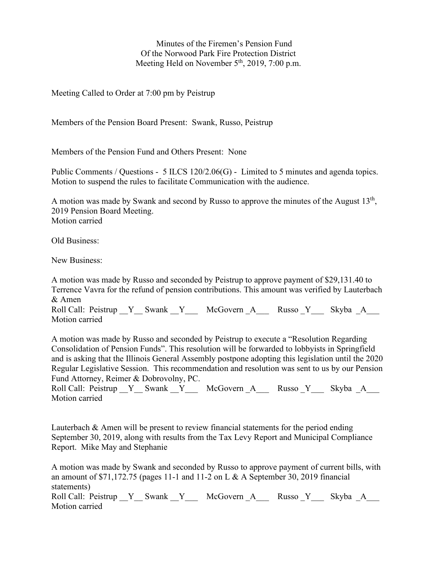Minutes of the Firemen's Pension Fund Of the Norwood Park Fire Protection District Meeting Held on November  $5<sup>th</sup>$ , 2019, 7:00 p.m.

Meeting Called to Order at 7:00 pm by Peistrup

Members of the Pension Board Present: Swank, Russo, Peistrup

Members of the Pension Fund and Others Present: None

Public Comments / Questions - 5 ILCS 120/2.06(G) - Limited to 5 minutes and agenda topics. Motion to suspend the rules to facilitate Communication with the audience.

A motion was made by Swank and second by Russo to approve the minutes of the August  $13<sup>th</sup>$ , 2019 Pension Board Meeting. Motion carried

Old Business:

New Business:

A motion was made by Russo and seconded by Peistrup to approve payment of \$29,131.40 to Terrence Vavra for the refund of pension contributions. This amount was verified by Lauterbach & Amen

Roll Call: Peistrup  $Y$  Swank  $Y$  McGovern A Russo  $Y$  Skyba A Motion carried

A motion was made by Russo and seconded by Peistrup to execute a "Resolution Regarding Consolidation of Pension Funds". This resolution will be forwarded to lobbyists in Springfield and is asking that the Illinois General Assembly postpone adopting this legislation until the 2020 Regular Legislative Session. This recommendation and resolution was sent to us by our Pension Fund Attorney, Reimer & Dobrovolny, PC.

Roll Call: Peistrup \_\_Y\_\_ Swank \_\_Y\_\_\_ McGovern \_A\_\_\_\_ Russo \_Y\_\_\_ Skyba \_A Motion carried

Lauterbach & Amen will be present to review financial statements for the period ending September 30, 2019, along with results from the Tax Levy Report and Municipal Compliance Report. Mike May and Stephanie

A motion was made by Swank and seconded by Russo to approve payment of current bills, with an amount of  $$71,172.75$  (pages 11-1 and 11-2 on L & A September 30, 2019 financial statements)

Roll Call: Peistrup  $Y$  Swank Y McGovern A Russo Y Skyba A Motion carried